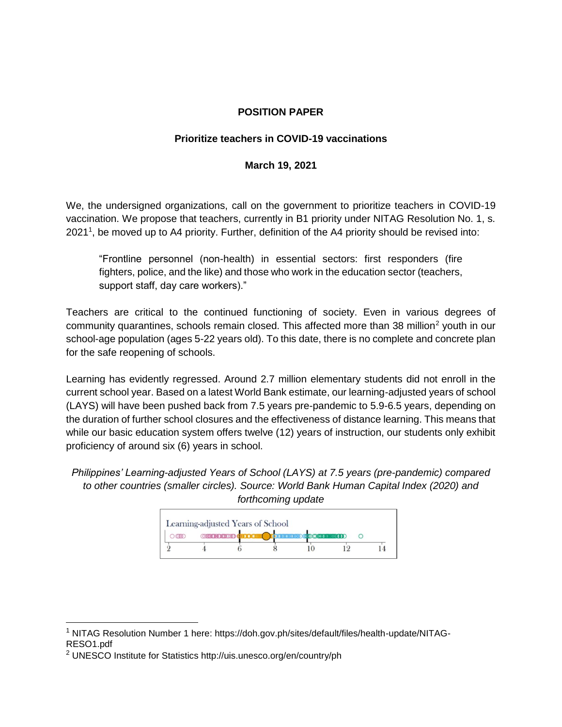## **POSITION PAPER**

## **Prioritize teachers in COVID-19 vaccinations**

## **March 19, 2021**

We, the undersigned organizations, call on the government to prioritize teachers in COVID-19 vaccination. We propose that teachers, currently in B1 priority under NITAG Resolution No. 1, s. 2021<sup>1</sup>, be moved up to A4 priority. Further, definition of the A4 priority should be revised into:

"Frontline personnel (non-health) in essential sectors: first responders (fire fighters, police, and the like) and those who work in the education sector (teachers, support staff, day care workers)."

Teachers are critical to the continued functioning of society. Even in various degrees of community quarantines, schools remain closed. This affected more than 38 million<sup>2</sup> youth in our school-age population (ages 5-22 years old). To this date, there is no complete and concrete plan for the safe reopening of schools.

Learning has evidently regressed. Around 2.7 million elementary students did not enroll in the current school year. Based on a latest World Bank estimate, our learning-adjusted years of school (LAYS) will have been pushed back from 7.5 years pre-pandemic to 5.9-6.5 years, depending on the duration of further school closures and the effectiveness of distance learning. This means that while our basic education system offers twelve (12) years of instruction, our students only exhibit proficiency of around six (6) years in school.

## *Philippines' Learning-adjusted Years of School (LAYS) at 7.5 years (pre-pandemic) compared to other countries (smaller circles). Source: World Bank Human Capital Index (2020) and forthcoming update*



 $\overline{a}$ 

<sup>1</sup> NITAG Resolution Number 1 here: https://doh.gov.ph/sites/default/files/health-update/NITAG-RESO1.pdf

<sup>&</sup>lt;sup>2</sup> UNESCO Institute for Statistics http://uis.unesco.org/en/country/ph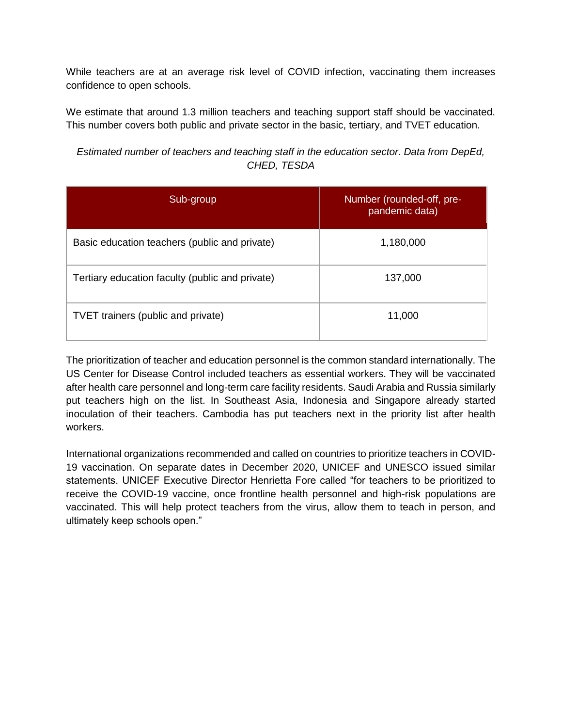While teachers are at an average risk level of COVID infection, vaccinating them increases confidence to open schools.

We estimate that around 1.3 million teachers and teaching support staff should be vaccinated. This number covers both public and private sector in the basic, tertiary, and TVET education.

*Estimated number of teachers and teaching staff in the education sector. Data from DepEd, CHED, TESDA*

| Sub-group                                       | Number (rounded-off, pre-<br>pandemic data) |
|-------------------------------------------------|---------------------------------------------|
| Basic education teachers (public and private)   | 1,180,000                                   |
| Tertiary education faculty (public and private) | 137,000                                     |
| <b>TVET</b> trainers (public and private)       | 11,000                                      |

The prioritization of teacher and education personnel is the common standard internationally. The US Center for Disease Control included teachers as essential workers. They will be vaccinated after health care personnel and long-term care facility residents. Saudi Arabia and Russia similarly put teachers high on the list. In Southeast Asia, Indonesia and Singapore already started inoculation of their teachers. Cambodia has put teachers next in the priority list after health workers.

International organizations recommended and called on countries to prioritize teachers in COVID-19 vaccination. On separate dates in December 2020, UNICEF and UNESCO issued similar statements. UNICEF Executive Director Henrietta Fore called "for teachers to be prioritized to receive the COVID-19 vaccine, once frontline health personnel and high-risk populations are vaccinated. This will help protect teachers from the virus, allow them to teach in person, and ultimately keep schools open."